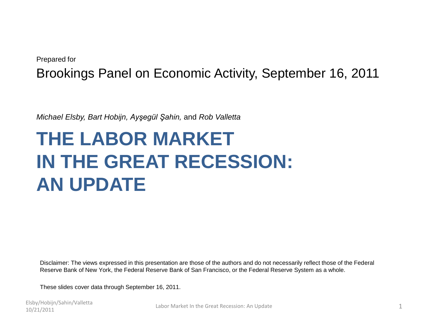#### Prepared for Brookings Panel on Economic Activity, September 16, 2011

*Michael Elsby, Bart Hobijn, Ayşegül Şahin,* and *Rob Valletta*

## **THE LABOR MARKET IN THE GREAT RECESSION: AN UPDATE**

Disclaimer: The views expressed in this presentation are those of the authors and do not necessarily reflect those of the Federal Reserve Bank of New York, the Federal Reserve Bank of San Francisco, or the Federal Reserve System as a whole.

These slides cover data through September 16, 2011.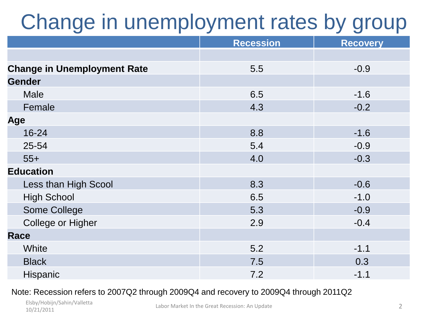# Change in unemployment rates by group

|                                    | <b>Recession</b> | <b>Recovery</b> |
|------------------------------------|------------------|-----------------|
|                                    |                  |                 |
| <b>Change in Unemployment Rate</b> | 5.5              | $-0.9$          |
| <b>Gender</b>                      |                  |                 |
| <b>Male</b>                        | 6.5              | $-1.6$          |
| Female                             | 4.3              | $-0.2$          |
| Age                                |                  |                 |
| 16-24                              | 8.8              | $-1.6$          |
| 25-54                              | 5.4              | $-0.9$          |
| $55+$                              | 4.0              | $-0.3$          |
| <b>Education</b>                   |                  |                 |
| Less than High Scool               | 8.3              | $-0.6$          |
| <b>High School</b>                 | 6.5              | $-1.0$          |
| Some College                       | 5.3              | $-0.9$          |
| College or Higher                  | 2.9              | $-0.4$          |
| <b>Race</b>                        |                  |                 |
| White                              | 5.2              | $-1.1$          |
| <b>Black</b>                       | 7.5              | 0.3             |
| Hispanic                           | 7.2              | $-1.1$          |

#### Note: Recession refers to 2007Q2 through 2009Q4 and recovery to 2009Q4 through 2011Q2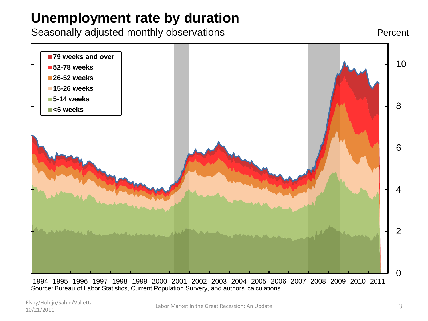#### **Unemployment rate by duration**

Seasonally adjusted monthly observations

Percent



 1994 1995 1996 1997 1998 1999 2000 2001 2002 2003 2004 2005 2006 2007 2008 2009 2010 2011 Source: Bureau of Labor Statistics, Current Population Survery, and authors' calculations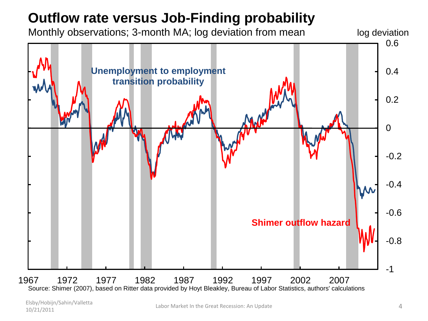### **Outflow rate versus Job-Finding probability**

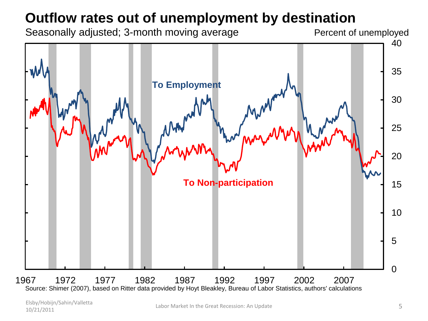#### **Outflow rates out of unemployment by destination**

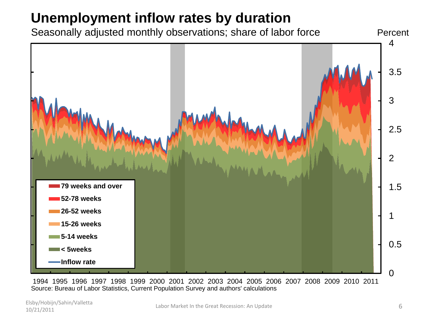### **Unemployment inflow rates by duration**





 1994 1995 1996 1997 1998 1999 2000 2001 2002 2003 2004 2005 2006 2007 2008 2009 2010 2011 Source: Bureau of Labor Statistics, Current Population Survey and authors' calculations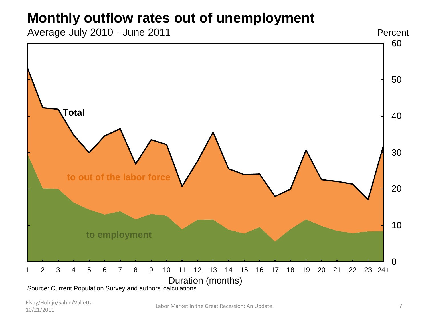#### **Monthly outflow rates out of unemployment**

Average July 2010 - June 2011



Source: Current Population Survey and authors' calculations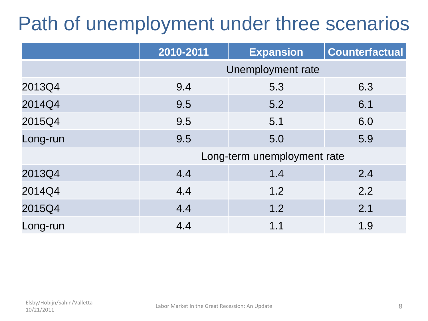## Path of unemployment under three scenarios

|          | 2010-2011                   | <b>Expansion</b> | <b>Counterfactual</b> |
|----------|-----------------------------|------------------|-----------------------|
|          | Unemployment rate           |                  |                       |
| 2013Q4   | 9.4                         | 5.3              | 6.3                   |
| 2014Q4   | 9.5                         | 5.2              | 6.1                   |
| 2015Q4   | 9.5                         | 5.1              | 6.0                   |
| Long-run | 9.5                         | 5.0              | 5.9                   |
|          | Long-term unemployment rate |                  |                       |
| 2013Q4   | 4.4                         | 1.4              | 2.4                   |
| 2014Q4   | 4.4                         | 1.2              | 2.2                   |
| 2015Q4   | 4.4                         | 1.2              | 2.1                   |
| Long-run | 4.4                         | 1.1              | 1.9                   |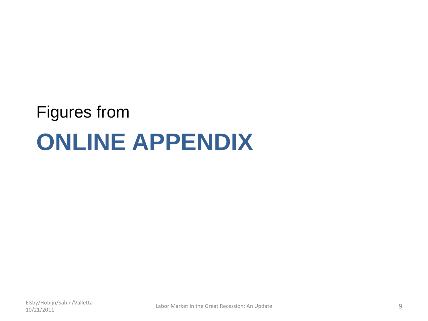# **ONLINE APPENDIX** Figures from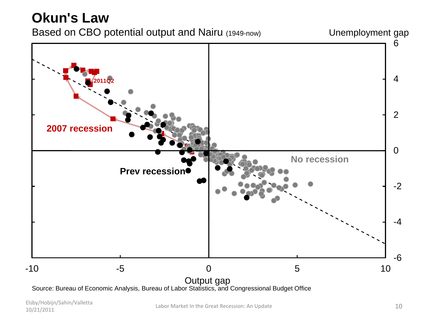#### **Okun's Law** Based on CBO potential output and Nairu (1949-now) Unemployment gap 6<br>4<br>2<br>2<br>2 6  $\overline{4}$ **2011Q2**  $\overline{2}$ **2007 recession** $\Omega$ **No recession Prev recession**  $-2$ -4 -6 -10 -5 0 5 10 Output gap

Source: Bureau of Economic Analysis, Bureau of Labor Statistics, and Congressional Budget Office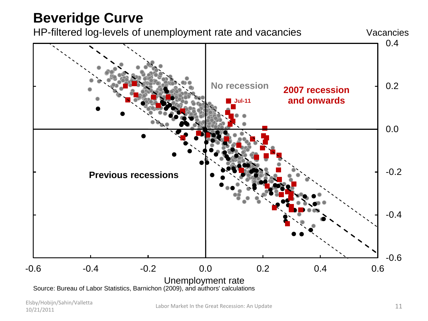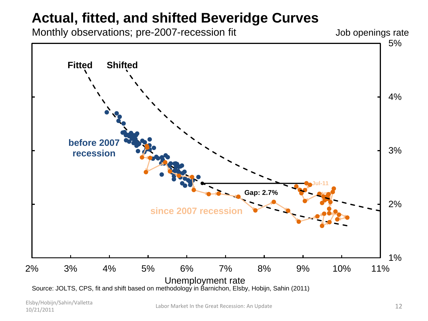#### **Actual, fitted, and shifted Beveridge Curves**

Monthly observations; pre-2007-recession fit

Job openings rate

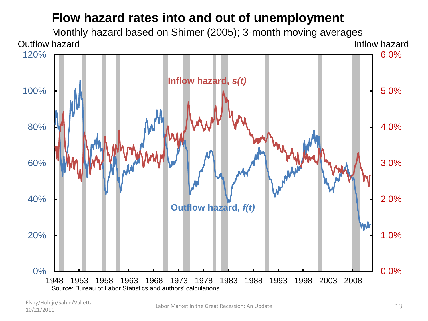#### **Flow hazard rates into and out of unemployment**

Monthly hazard based on Shimer (2005); 3-month moving averages Outflow hazard **Inflow hazard** Inflow hazard